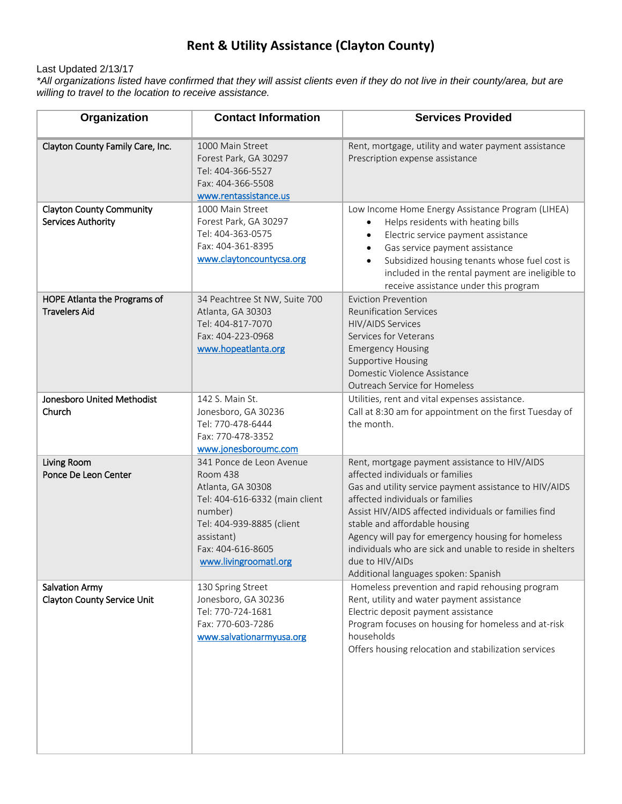## **Rent & Utility Assistance (Clayton County)**

## Last Updated 2/13/17

*\*All organizations listed have confirmed that they will assist clients even if they do not live in their county/area, but are willing to travel to the location to receive assistance.*

| Organization                                                | <b>Contact Information</b>                                                                                                                                                                      | <b>Services Provided</b>                                                                                                                                                                                                                                                                                                                                                                                                                                |
|-------------------------------------------------------------|-------------------------------------------------------------------------------------------------------------------------------------------------------------------------------------------------|---------------------------------------------------------------------------------------------------------------------------------------------------------------------------------------------------------------------------------------------------------------------------------------------------------------------------------------------------------------------------------------------------------------------------------------------------------|
| Clayton County Family Care, Inc.                            | 1000 Main Street<br>Forest Park, GA 30297<br>Tel: 404-366-5527<br>Fax: 404-366-5508<br>www.rentassistance.us                                                                                    | Rent, mortgage, utility and water payment assistance<br>Prescription expense assistance                                                                                                                                                                                                                                                                                                                                                                 |
| <b>Clayton County Community</b><br>Services Authority       | 1000 Main Street<br>Forest Park, GA 30297<br>Tel: 404-363-0575<br>Fax: 404-361-8395<br>www.claytoncountycsa.org                                                                                 | Low Income Home Energy Assistance Program (LIHEA)<br>Helps residents with heating bills<br>$\bullet$<br>Electric service payment assistance<br>$\bullet$<br>Gas service payment assistance<br>$\bullet$<br>Subsidized housing tenants whose fuel cost is<br>$\bullet$<br>included in the rental payment are ineligible to<br>receive assistance under this program                                                                                      |
| HOPE Atlanta the Programs of<br><b>Travelers Aid</b>        | 34 Peachtree St NW, Suite 700<br>Atlanta, GA 30303<br>Tel: 404-817-7070<br>Fax: 404-223-0968<br>www.hopeatlanta.org                                                                             | <b>Eviction Prevention</b><br><b>Reunification Services</b><br><b>HIV/AIDS Services</b><br>Services for Veterans<br><b>Emergency Housing</b><br><b>Supportive Housing</b><br>Domestic Violence Assistance<br>Outreach Service for Homeless                                                                                                                                                                                                              |
| Jonesboro United Methodist<br>Church                        | 142 S. Main St.<br>Jonesboro, GA 30236<br>Tel: 770-478-6444<br>Fax: 770-478-3352<br>www.jonesboroumc.com                                                                                        | Utilities, rent and vital expenses assistance.<br>Call at 8:30 am for appointment on the first Tuesday of<br>the month.                                                                                                                                                                                                                                                                                                                                 |
| Living Room<br>Ponce De Leon Center                         | 341 Ponce de Leon Avenue<br>Room 438<br>Atlanta, GA 30308<br>Tel: 404-616-6332 (main client<br>number)<br>Tel: 404-939-8885 (client<br>assistant)<br>Fax: 404-616-8605<br>www.livingroomatl.org | Rent, mortgage payment assistance to HIV/AIDS<br>affected individuals or families<br>Gas and utility service payment assistance to HIV/AIDS<br>affected individuals or families<br>Assist HIV/AIDS affected individuals or families find<br>stable and affordable housing<br>Agency will pay for emergency housing for homeless<br>individuals who are sick and unable to reside in shelters<br>due to HIV/AIDs<br>Additional languages spoken: Spanish |
| <b>Salvation Army</b><br><b>Clayton County Service Unit</b> | 130 Spring Street<br>Jonesboro, GA 30236<br>Tel: 770-724-1681<br>Fax: 770-603-7286<br>www.salvationarmyusa.org                                                                                  | Homeless prevention and rapid rehousing program<br>Rent, utility and water payment assistance<br>Electric deposit payment assistance<br>Program focuses on housing for homeless and at-risk<br>households<br>Offers housing relocation and stabilization services                                                                                                                                                                                       |